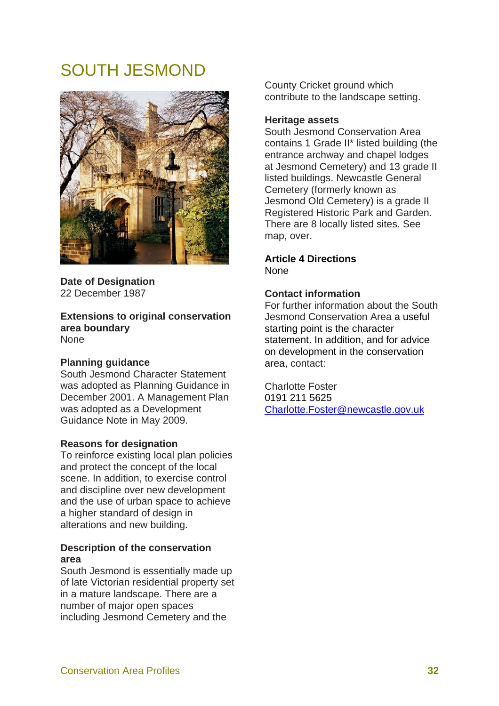# SOUTH JESMOND



**Date of Designation**  22 December 1987

**Extensions to original conservation area boundary None** 

### **Planning guidance**

South Jesmond Character Statement was adopted as Planning Guidance in December 2001. A Management Plan was adopted as a Development Guidance Note in May 2009.

### **Reasons for designation**

To reinforce existing local plan policies and protect the concept of the local scene. In addition, to exercise control and discipline over new development and the use of urban space to achieve a higher standard of design in alterations and new building.

### **Description of the conservation area**

South Jesmond is essentially made up of late Victorian residential property set in a mature landscape. There are a number of major open spaces including Jesmond Cemetery and the

County Cricket ground which contribute to the landscape setting.

#### **Heritage assets**

South Jesmond Conservation Area contains 1 Grade II\* listed building (the entrance archway and chapel lodges at Jesmond Cemetery) and 13 grade II listed buildings. Newcastle General Cemetery (formerly known as Jesmond Old Cemetery) is a grade II Registered Historic Park and Garden. There are 8 locally listed sites. See map, over.

#### **Article 4 Directions None**

## **Contact information**

For further information about the South Jesmond Conservation Area a useful starting point is the character statement. In addition, and for advice on development in the conservation area, contact:

Charlotte Foster 0191 211 5625 Charlotte.Foster@newcastle.gov.uk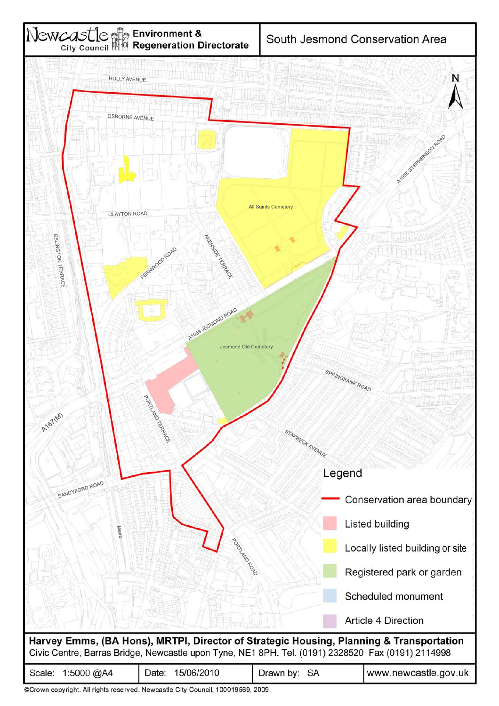

| Scale: 1:5000 @A4                                                              | Date: 15/06/2010 | Drawn by: SA | www.newcastle.gov.uk |
|--------------------------------------------------------------------------------|------------------|--------------|----------------------|
| @Crown convright, All rights reserved, Newcastle City Council, 100019569, 2009 |                  |              |                      |

.rown copyright. All rights reserved. Newcastle City Council, 100019569, 2009.